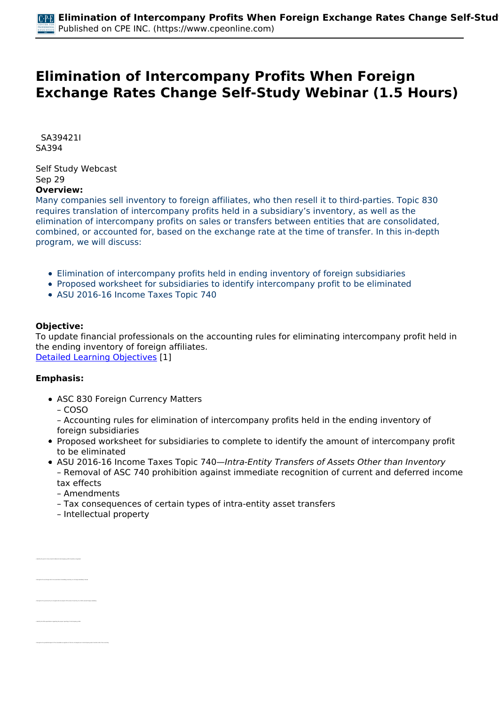## **Elimination of Intercompany Profits When Foreign Exchange Rates Change Self-Study Webinar (1.5 Hours)**

 *SA39421I SA394* 

*Self Study Webcast Sep 29*  **Overview:** 

*Many companies sell inventory to foreign affiliates, who then resell it to third-parties. Topic 830 requires translation of intercompany profits held in a subsidiary's inventory, as well as the elimination of intercompany profits on sales or transfers between entities that are consolidated, combined, or accounted for, based on the exchange rate at the time of transfer. In this in-depth program, we will discuss:*

- *Elimination of intercompany profits held in ending inventory of foreign subsidiaries*
- *Proposed worksheet for subsidiaries to identify intercompany profit to be eliminated*
- *ASU 2016-16 Income Taxes Topic 740*

## **Objective:**

*To update financial professionals on the accounting rules for eliminating intercompany profit held in the ending inventory of foreign affiliates. [Detailed Learning Objectives](https://www.cpeonline.com/JavaScript:showObjectivesPopup();) [1]*

## **Emphasis:**

*• Identify the point in time at which deferred intercompany profit should be recognized*

*• Identify the ICFR expectations regarding the proper reporting of intercompany profits*

- *ASC 830 Foreign Currency Matters*
	- *COSO*

*– Accounting rules for elimination of intercompany profits held in the ending inventory of foreign subsidiaries*

- *Proposed worksheet for subsidiaries to complete to identify the amount of intercompany profit to be eliminated*
- *ASU 2016-16 Income Taxes Topic 740—Intra-Entity Transfers of Assets Other than Inventory – Removal of ASC 740 prohibition against immediate recognition of current and deferred income tax effects*
	- *Amendments*
	- *Tax consequences of certain types of intra-entity asset transfers*
	- *Intellectual property*